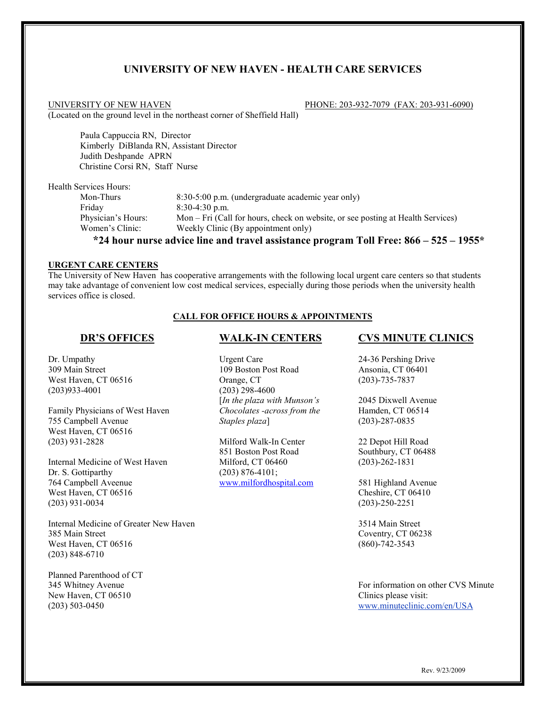# **UNIVERSITY OF NEW HAVEN - HEALTH CARE SERVICES**

UNIVERSITY OF NEW HAVEN **PHONE: 203-932-7079** (FAX: 203-931-6090) (Located on the ground level in the northeast corner of Sheffield Hall)

Paula Cappuccia RN, Director Kimberly DiBlanda RN, Assistant Director Judith Deshpande APRN Christine Corsi RN, Staff Nurse

Health Services Hours:

| Mon-Thurs          | 8:30-5:00 p.m. (undergraduate academic year only)                                                              |
|--------------------|----------------------------------------------------------------------------------------------------------------|
| Fridav             | $8:30-4:30$ p.m.                                                                                               |
| Physician's Hours: | Mon – Fri (Call for hours, check on website, or see posting at Health Services)                                |
| Women's Clinic:    | Weekly Clinic (By appointment only)                                                                            |
|                    | 49.4.1 – 1.2 – 1.4 – 1.4 – 1.4 – 2.4 – 2.4 – 2.5 – 2.6 – 2.7 – 2.7 – 2.7 – 2.7 – 2.7 – 2.7 – 2.7 – 2.7 – 2.7 – |

### **\*24 hour nurse advice line and travel assistance program Toll Free: 866 – 525 – 1955\***

### **URGENT CARE CENTERS**

The University of New Haven has cooperative arrangements with the following local urgent care centers so that students may take advantage of convenient low cost medical services, especially during those periods when the university health services office is closed.

## **CALL FOR OFFICE HOURS & APPOINTMENTS**

## **DR'S OFFICES**

Dr. Umpathy 309 Main Street West Haven, CT 06516 (203)933-4001

Family Physicians of West Haven 755 Campbell Avenue West Haven, CT 06516 (203) 931-2828

Internal Medicine of West Haven Dr. S. Gottiparthy 764 Campbell Aveenue West Haven, CT 06516 (203) 931-0034

Internal Medicine of Greater New Haven 385 Main Street West Haven, CT 06516 (203) 848-6710

Planned Parenthood of CT 345 Whitney Avenue New Haven, CT 06510 (203) 503-0450

## **WALK-IN CENTERS**

Urgent Care 109 Boston Post Road Orange, CT (203) 298-4600 [*In the plaza with Munson's Chocolates -across from the Staples plaza*]

Milford Walk-In Center 851 Boston Post Road Milford, CT 06460 (203) 876-4101; [www.milfordhospital.com](http://www.milfordhospital.com/)

### **CVS MINUTE CLINICS**

24-36 Pershing Drive Ansonia, CT 06401 (203)-735-7837

2045 Dixwell Avenue Hamden, CT 06514 (203)-287-0835

22 Depot Hill Road Southbury, CT 06488 (203)-262-1831

581 Highland Avenue Cheshire, CT 06410 (203)-250-2251

3514 Main Street Coventry, CT 06238 (860)-742-3543

For information on other CVS Minute Clinics please visit: www.minuteclinic.com/en/USA